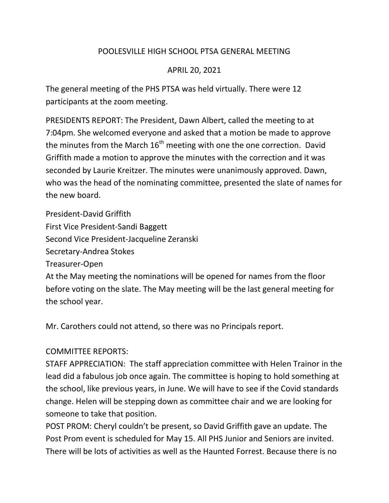## POOLESVILLE HIGH SCHOOL PTSA GENERAL MEETING

## APRIL 20, 2021

The general meeting of the PHS PTSA was held virtually. There were 12 participants at the zoom meeting.

PRESIDENTS REPORT: The President, Dawn Albert, called the meeting to at 7:04pm. She welcomed everyone and asked that a motion be made to approve the minutes from the March  $16<sup>th</sup>$  meeting with one the one correction. David Griffith made a motion to approve the minutes with the correction and it was seconded by Laurie Kreitzer. The minutes were unanimously approved. Dawn, who was the head of the nominating committee, presented the slate of names for the new board.

President-David Griffith First Vice President-Sandi Baggett Second Vice President-Jacqueline Zeranski Secretary-Andrea Stokes Treasurer-Open At the May meeting the nominations will be opened for names from the floor before voting on the slate. The May meeting will be the last general meeting for the school year.

Mr. Carothers could not attend, so there was no Principals report.

## COMMITTEE REPORTS:

STAFF APPRECIATION: The staff appreciation committee with Helen Trainor in the lead did a fabulous job once again. The committee is hoping to hold something at the school, like previous years, in June. We will have to see if the Covid standards change. Helen will be stepping down as committee chair and we are looking for someone to take that position.

POST PROM: Cheryl couldn't be present, so David Griffith gave an update. The Post Prom event is scheduled for May 15. All PHS Junior and Seniors are invited. There will be lots of activities as well as the Haunted Forrest. Because there is no